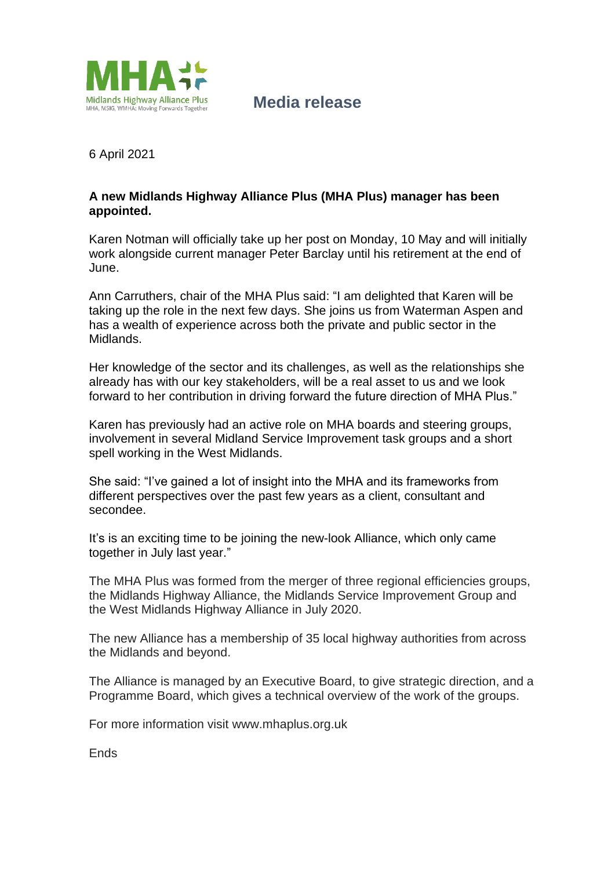

**Media release**

6 April 2021

## **A new Midlands Highway Alliance Plus (MHA Plus) manager has been appointed.**

Karen Notman will officially take up her post on Monday, 10 May and will initially work alongside current manager Peter Barclay until his retirement at the end of June.

Ann Carruthers, chair of the MHA Plus said: "I am delighted that Karen will be taking up the role in the next few days. She joins us from Waterman Aspen and has a wealth of experience across both the private and public sector in the Midlands.

Her knowledge of the sector and its challenges, as well as the relationships she already has with our key stakeholders, will be a real asset to us and we look forward to her contribution in driving forward the future direction of MHA Plus."

Karen has previously had an active role on MHA boards and steering groups, involvement in several Midland Service Improvement task groups and a short spell working in the West Midlands.

She said: "I've gained a lot of insight into the MHA and its frameworks from different perspectives over the past few years as a client, consultant and secondee.

It's is an exciting time to be joining the new-look Alliance, which only came together in July last year."

The MHA Plus was formed from the merger of three regional efficiencies groups, the Midlands Highway Alliance, the Midlands Service Improvement Group and the West Midlands Highway Alliance in July 2020.

The new Alliance has a membership of 35 local highway authorities from across the Midlands and beyond.

The Alliance is managed by an Executive Board, to give strategic direction, and a Programme Board, which gives a technical overview of the work of the groups.

For more information visit www.mhaplus.org.uk

Ends